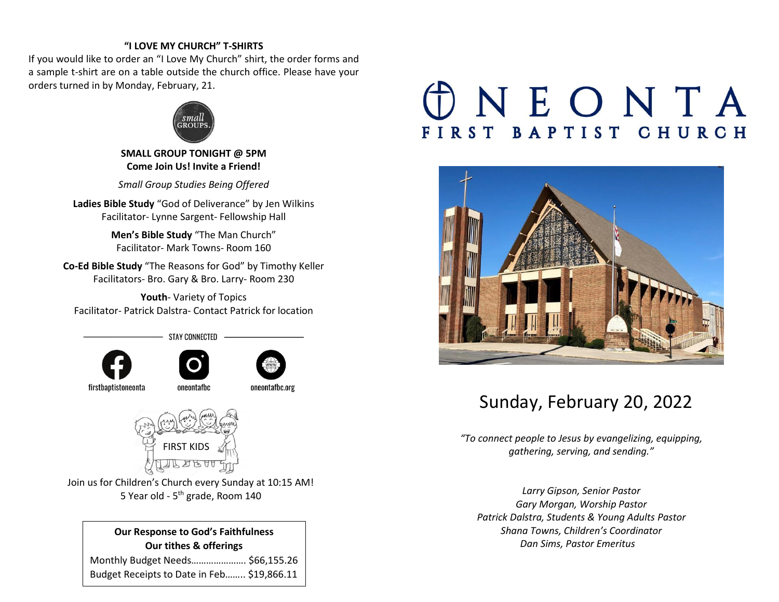#### **"I LOVE MY CHURCH" T-SHIRTS**

If you would like to order an "I Love My Church" shirt, the order forms and a sample t-shirt are on a table outside the church office. Please have your orders turned in by Monday, February, 21.



**SMALL GROUP TONIGHT @ 5PM Come Join Us! Invite a Friend!** 

*Small Group Studies Being Offered*

**Ladies Bible Study** "God of Deliverance" by Jen Wilkins Facilitator- Lynne Sargent- Fellowship Hall

> **Men's Bible Study** "The Man Church" Facilitator- Mark Towns- Room 160

**Co-Ed Bible Study** "The Reasons for God" by Timothy Keller Facilitators- Bro. Gary & Bro. Larry- Room 230

**Youth**- Variety of Topics Facilitator- Patrick Dalstra- Contact Patrick for location

**STAY CONNECTED** 







oneontafbc.org

firstbaptistoneonta

oneontafbc



Join us for Children's Church every Sunday at 10:15 AM! 5 Year old - 5<sup>th</sup> grade, Room 140

**Our Response to God's Faithfulness Our tithes & offerings** Monthly Budget Needs…………………. \$66,155.26 Budget Receipts to Date in Feb…….. \$19,866.11

# **DNEONTA** FIRST BAPTIST CHURCH



# Sunday, February 20, 2022

*"To connect people to Jesus by evangelizing, equipping, gathering, serving, and sending."*

*Larry Gipson, Senior Pastor Gary Morgan, Worship Pastor Patrick Dalstra, Students & Young Adults Pastor Shana Towns, Children's Coordinator Dan Sims, Pastor Emeritus*